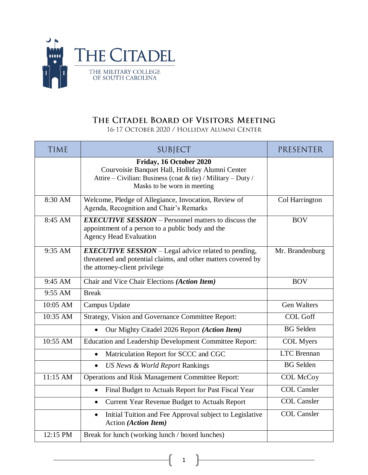

## THE CITADEL BOARD OF VISITORS MEETING

16-17 OCTOBER 2020 / HOLLIDAY ALUMNI CENTER

| <b>TIME</b> | SUBJECT                                                                                                                                                                   | PRESENTER          |
|-------------|---------------------------------------------------------------------------------------------------------------------------------------------------------------------------|--------------------|
|             | Friday, 16 October 2020<br>Courvoisie Banquet Hall, Holliday Alumni Center<br>Attire – Civilian: Business (coat & tie) / Military – Duty /<br>Masks to be worn in meeting |                    |
| 8:30 AM     | Welcome, Pledge of Allegiance, Invocation, Review of<br>Agenda, Recognition and Chair's Remarks                                                                           | Col Harrington     |
| 8:45 AM     | <b>EXECUTIVE SESSION</b> – Personnel matters to discuss the<br>appointment of a person to a public body and the<br><b>Agency Head Evaluation</b>                          | <b>BOV</b>         |
| 9:35 AM     | <b>EXECUTIVE SESSION</b> – Legal advice related to pending,<br>threatened and potential claims, and other matters covered by<br>the attorney-client privilege             | Mr. Brandenburg    |
| 9:45 AM     | Chair and Vice Chair Elections (Action Item)                                                                                                                              | <b>BOV</b>         |
| 9:55 AM     | <b>Break</b>                                                                                                                                                              |                    |
| 10:05 AM    | Campus Update                                                                                                                                                             | <b>Gen Walters</b> |
| 10:35 AM    | <b>Strategy, Vision and Governance Committee Report:</b>                                                                                                                  | <b>COL Goff</b>    |
|             | Our Mighty Citadel 2026 Report (Action Item)                                                                                                                              | <b>BG</b> Selden   |
| 10:55 AM    | Education and Leadership Development Committee Report:                                                                                                                    | <b>COL</b> Myers   |
|             | Matriculation Report for SCCC and CGC<br>$\bullet$                                                                                                                        | <b>LTC</b> Brennan |
|             | US News & World Report Rankings<br>$\bullet$                                                                                                                              | <b>BG</b> Selden   |
| 11:15 AM    | <b>Operations and Risk Management Committee Report:</b>                                                                                                                   | <b>COL McCoy</b>   |
|             | Final Budget to Actuals Report for Past Fiscal Year<br>$\bullet$                                                                                                          | <b>COL Cansler</b> |
|             | Current Year Revenue Budget to Actuals Report<br>$\bullet$                                                                                                                | <b>COL Cansler</b> |
|             | Initial Tuition and Fee Approval subject to Legislative<br>$\bullet$<br>Action (Action Item)                                                                              | <b>COL Cansler</b> |
| 12:15 PM    | Break for lunch (working lunch / boxed lunches)                                                                                                                           |                    |

1